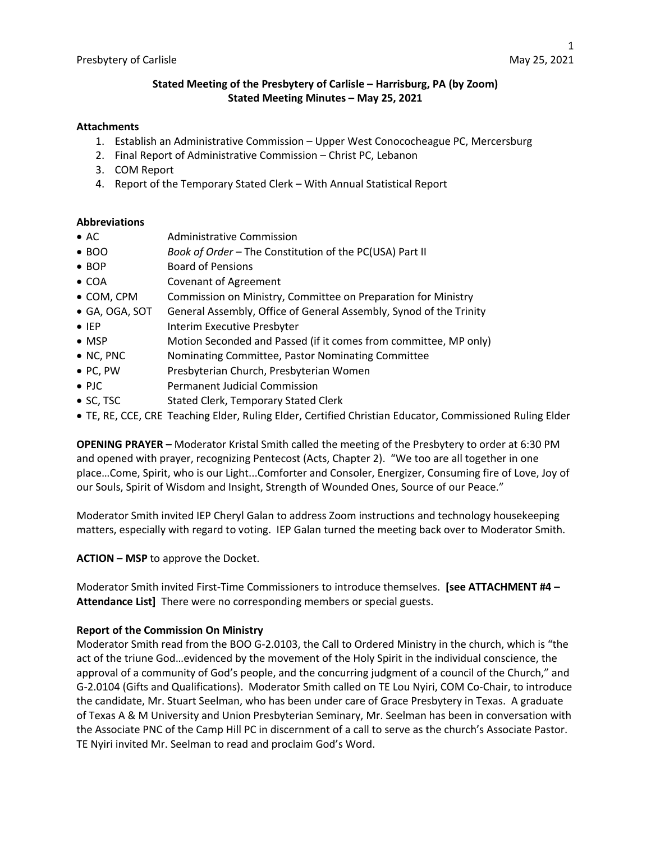# **Stated Meeting of the Presbytery of Carlisle – Harrisburg, PA (by Zoom) Stated Meeting Minutes – May 25, 2021**

#### **Attachments**

- 1. Establish an Administrative Commission Upper West Conococheague PC, Mercersburg
- 2. Final Report of Administrative Commission Christ PC, Lebanon
- 3. COM Report
- 4. Report of the Temporary Stated Clerk With Annual Statistical Report

#### **Abbreviations**

- AC Administrative Commission
- BOO *Book of Order –* The Constitution of the PC(USA) Part II
- BOP Board of Pensions
- COA Covenant of Agreement
- COM, CPM Commission on Ministry, Committee on Preparation for Ministry
- GA, OGA, SOT General Assembly, Office of General Assembly, Synod of the Trinity
- IEP Interim Executive Presbyter
- MSP Motion Seconded and Passed (if it comes from committee, MP only)
- NC, PNC Nominating Committee, Pastor Nominating Committee
- PC, PW Presbyterian Church, Presbyterian Women
- PJC Permanent Judicial Commission
- SC, TSC Stated Clerk, Temporary Stated Clerk
- TE, RE, CCE, CRE Teaching Elder, Ruling Elder, Certified Christian Educator, Commissioned Ruling Elder

**OPENING PRAYER –** Moderator Kristal Smith called the meeting of the Presbytery to order at 6:30 PM and opened with prayer, recognizing Pentecost (Acts, Chapter 2). "We too are all together in one place…Come, Spirit, who is our Light...Comforter and Consoler, Energizer, Consuming fire of Love, Joy of our Souls, Spirit of Wisdom and Insight, Strength of Wounded Ones, Source of our Peace."

Moderator Smith invited IEP Cheryl Galan to address Zoom instructions and technology housekeeping matters, especially with regard to voting. IEP Galan turned the meeting back over to Moderator Smith.

**ACTION – MSP** to approve the Docket.

Moderator Smith invited First-Time Commissioners to introduce themselves. **[see ATTACHMENT #4 – Attendance List]** There were no corresponding members or special guests.

## **Report of the Commission On Ministry**

Moderator Smith read from the BOO G-2.0103, the Call to Ordered Ministry in the church, which is "the act of the triune God…evidenced by the movement of the Holy Spirit in the individual conscience, the approval of a community of God's people, and the concurring judgment of a council of the Church," and G-2.0104 (Gifts and Qualifications). Moderator Smith called on TE Lou Nyiri, COM Co-Chair, to introduce the candidate, Mr. Stuart Seelman, who has been under care of Grace Presbytery in Texas. A graduate of Texas A & M University and Union Presbyterian Seminary, Mr. Seelman has been in conversation with the Associate PNC of the Camp Hill PC in discernment of a call to serve as the church's Associate Pastor. TE Nyiri invited Mr. Seelman to read and proclaim God's Word.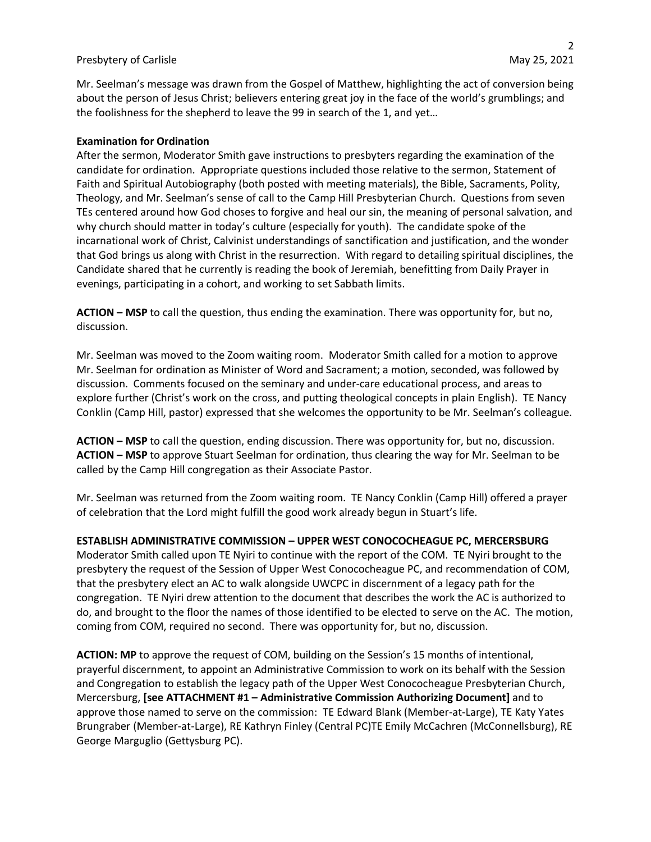Mr. Seelman's message was drawn from the Gospel of Matthew, highlighting the act of conversion being about the person of Jesus Christ; believers entering great joy in the face of the world's grumblings; and the foolishness for the shepherd to leave the 99 in search of the 1, and yet…

#### **Examination for Ordination**

After the sermon, Moderator Smith gave instructions to presbyters regarding the examination of the candidate for ordination. Appropriate questions included those relative to the sermon, Statement of Faith and Spiritual Autobiography (both posted with meeting materials), the Bible, Sacraments, Polity, Theology, and Mr. Seelman's sense of call to the Camp Hill Presbyterian Church. Questions from seven TEs centered around how God choses to forgive and heal our sin, the meaning of personal salvation, and why church should matter in today's culture (especially for youth). The candidate spoke of the incarnational work of Christ, Calvinist understandings of sanctification and justification, and the wonder that God brings us along with Christ in the resurrection. With regard to detailing spiritual disciplines, the Candidate shared that he currently is reading the book of Jeremiah, benefitting from Daily Prayer in evenings, participating in a cohort, and working to set Sabbath limits.

**ACTION – MSP** to call the question, thus ending the examination. There was opportunity for, but no, discussion.

Mr. Seelman was moved to the Zoom waiting room. Moderator Smith called for a motion to approve Mr. Seelman for ordination as Minister of Word and Sacrament; a motion, seconded, was followed by discussion. Comments focused on the seminary and under-care educational process, and areas to explore further (Christ's work on the cross, and putting theological concepts in plain English). TE Nancy Conklin (Camp Hill, pastor) expressed that she welcomes the opportunity to be Mr. Seelman's colleague.

**ACTION – MSP** to call the question, ending discussion. There was opportunity for, but no, discussion. **ACTION – MSP** to approve Stuart Seelman for ordination, thus clearing the way for Mr. Seelman to be called by the Camp Hill congregation as their Associate Pastor.

Mr. Seelman was returned from the Zoom waiting room. TE Nancy Conklin (Camp Hill) offered a prayer of celebration that the Lord might fulfill the good work already begun in Stuart's life.

**ESTABLISH ADMINISTRATIVE COMMISSION – UPPER WEST CONOCOCHEAGUE PC, MERCERSBURG**

Moderator Smith called upon TE Nyiri to continue with the report of the COM. TE Nyiri brought to the presbytery the request of the Session of Upper West Conococheague PC, and recommendation of COM, that the presbytery elect an AC to walk alongside UWCPC in discernment of a legacy path for the congregation. TE Nyiri drew attention to the document that describes the work the AC is authorized to do, and brought to the floor the names of those identified to be elected to serve on the AC. The motion, coming from COM, required no second. There was opportunity for, but no, discussion.

**ACTION: MP** to approve the request of COM, building on the Session's 15 months of intentional, prayerful discernment, to appoint an Administrative Commission to work on its behalf with the Session and Congregation to establish the legacy path of the Upper West Conococheague Presbyterian Church, Mercersburg, **[see ATTACHMENT #1 – Administrative Commission Authorizing Document]** and to approve those named to serve on the commission: TE Edward Blank (Member-at-Large), TE Katy Yates Brungraber (Member-at-Large), RE Kathryn Finley (Central PC)TE Emily McCachren (McConnellsburg), RE George Marguglio (Gettysburg PC).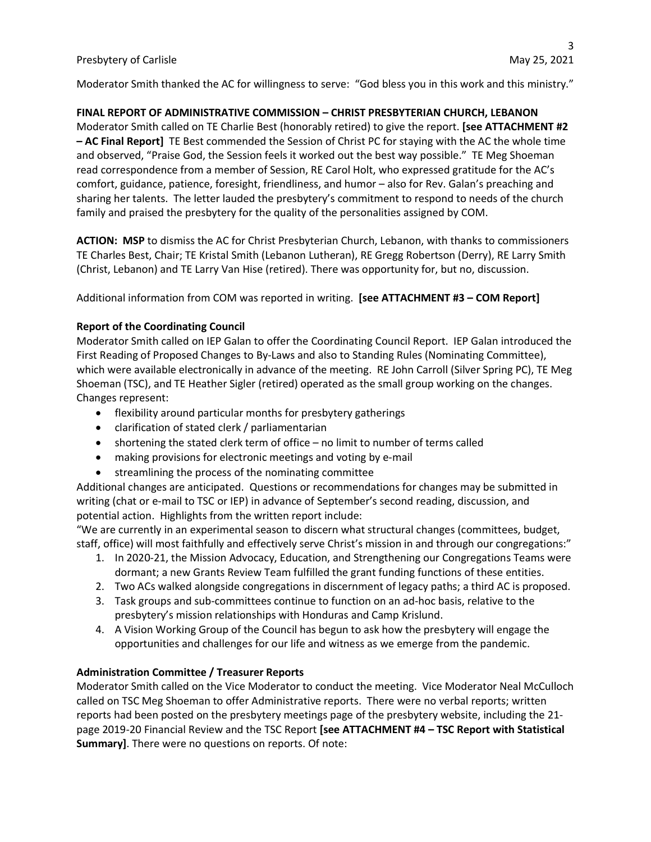Moderator Smith thanked the AC for willingness to serve: "God bless you in this work and this ministry."

## **FINAL REPORT OF ADMINISTRATIVE COMMISSION – CHRIST PRESBYTERIAN CHURCH, LEBANON**

Moderator Smith called on TE Charlie Best (honorably retired) to give the report. **[see ATTACHMENT #2 – AC Final Report]** TE Best commended the Session of Christ PC for staying with the AC the whole time and observed, "Praise God, the Session feels it worked out the best way possible." TE Meg Shoeman read correspondence from a member of Session, RE Carol Holt, who expressed gratitude for the AC's comfort, guidance, patience, foresight, friendliness, and humor – also for Rev. Galan's preaching and sharing her talents. The letter lauded the presbytery's commitment to respond to needs of the church family and praised the presbytery for the quality of the personalities assigned by COM.

**ACTION: MSP** to dismiss the AC for Christ Presbyterian Church, Lebanon, with thanks to commissioners TE Charles Best, Chair; TE Kristal Smith (Lebanon Lutheran), RE Gregg Robertson (Derry), RE Larry Smith (Christ, Lebanon) and TE Larry Van Hise (retired). There was opportunity for, but no, discussion.

Additional information from COM was reported in writing. **[see ATTACHMENT #3 – COM Report]**

## **Report of the Coordinating Council**

Moderator Smith called on IEP Galan to offer the Coordinating Council Report. IEP Galan introduced the First Reading of Proposed Changes to By-Laws and also to Standing Rules (Nominating Committee), which were available electronically in advance of the meeting. RE John Carroll (Silver Spring PC), TE Meg Shoeman (TSC), and TE Heather Sigler (retired) operated as the small group working on the changes. Changes represent:

- flexibility around particular months for presbytery gatherings
- clarification of stated clerk / parliamentarian
- shortening the stated clerk term of office no limit to number of terms called
- making provisions for electronic meetings and voting by e-mail
- streamlining the process of the nominating committee

Additional changes are anticipated. Questions or recommendations for changes may be submitted in writing (chat or e-mail to TSC or IEP) in advance of September's second reading, discussion, and potential action. Highlights from the written report include:

"We are currently in an experimental season to discern what structural changes (committees, budget, staff, office) will most faithfully and effectively serve Christ's mission in and through our congregations:"

- 1. In 2020-21, the Mission Advocacy, Education, and Strengthening our Congregations Teams were dormant; a new Grants Review Team fulfilled the grant funding functions of these entities.
- 2. Two ACs walked alongside congregations in discernment of legacy paths; a third AC is proposed.
- 3. Task groups and sub-committees continue to function on an ad-hoc basis, relative to the presbytery's mission relationships with Honduras and Camp Krislund.
- 4. A Vision Working Group of the Council has begun to ask how the presbytery will engage the opportunities and challenges for our life and witness as we emerge from the pandemic.

# **Administration Committee / Treasurer Reports**

Moderator Smith called on the Vice Moderator to conduct the meeting. Vice Moderator Neal McCulloch called on TSC Meg Shoeman to offer Administrative reports. There were no verbal reports; written reports had been posted on the presbytery meetings page of the presbytery website, including the 21 page 2019-20 Financial Review and the TSC Report **[see ATTACHMENT #4 – TSC Report with Statistical Summary]**. There were no questions on reports. Of note: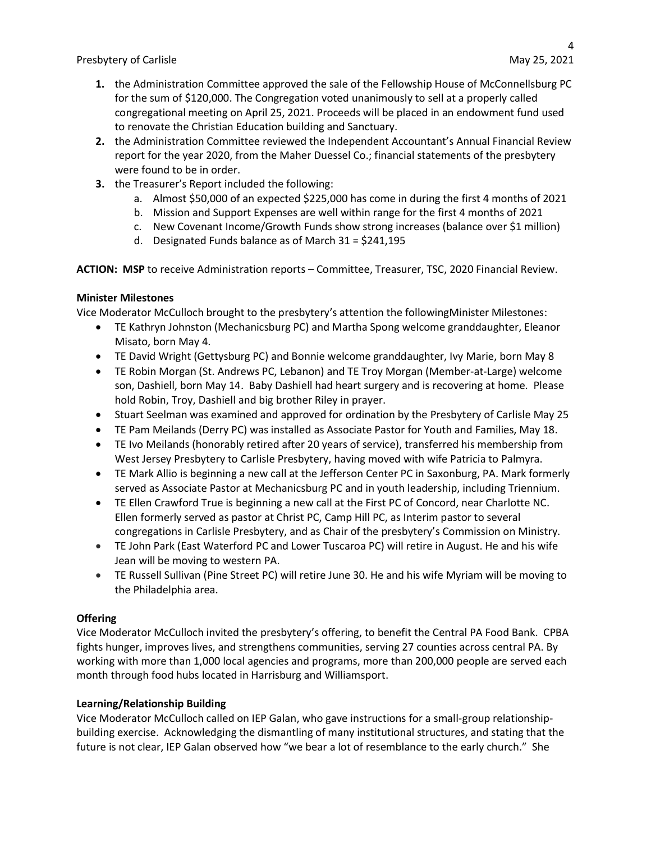- **1.** the Administration Committee approved the sale of the Fellowship House of McConnellsburg PC for the sum of \$120,000. The Congregation voted unanimously to sell at a properly called congregational meeting on April 25, 2021. Proceeds will be placed in an endowment fund used to renovate the Christian Education building and Sanctuary.
- **2.** the Administration Committee reviewed the Independent Accountant's Annual Financial Review report for the year 2020, from the Maher Duessel Co.; financial statements of the presbytery were found to be in order.
- **3.** the Treasurer's Report included the following:
	- a. Almost \$50,000 of an expected \$225,000 has come in during the first 4 months of 2021
	- b. Mission and Support Expenses are well within range for the first 4 months of 2021
	- c. New Covenant Income/Growth Funds show strong increases (balance over \$1 million)
	- d. Designated Funds balance as of March 31 = \$241,195

**ACTION: MSP** to receive Administration reports – Committee, Treasurer, TSC, 2020 Financial Review.

## **Minister Milestones**

Vice Moderator McCulloch brought to the presbytery's attention the followingMinister Milestones:

- TE Kathryn Johnston (Mechanicsburg PC) and Martha Spong welcome granddaughter, Eleanor Misato, born May 4.
- TE David Wright (Gettysburg PC) and Bonnie welcome granddaughter, Ivy Marie, born May 8
- TE Robin Morgan (St. Andrews PC, Lebanon) and TE Troy Morgan (Member-at-Large) welcome son, Dashiell, born May 14. Baby Dashiell had heart surgery and is recovering at home. Please hold Robin, Troy, Dashiell and big brother Riley in prayer.
- Stuart Seelman was examined and approved for ordination by the Presbytery of Carlisle May 25
- TE Pam Meilands (Derry PC) was installed as Associate Pastor for Youth and Families, May 18.
- TE Ivo Meilands (honorably retired after 20 years of service), transferred his membership from West Jersey Presbytery to Carlisle Presbytery, having moved with wife Patricia to Palmyra.
- TE Mark Allio is beginning a new call at the Jefferson Center PC in Saxonburg, PA. Mark formerly served as Associate Pastor at Mechanicsburg PC and in youth leadership, including Triennium.
- TE Ellen Crawford True is beginning a new call at the First PC of Concord, near Charlotte NC. Ellen formerly served as pastor at Christ PC, Camp Hill PC, as Interim pastor to several congregations in Carlisle Presbytery, and as Chair of the presbytery's Commission on Ministry.
- TE John Park (East Waterford PC and Lower Tuscaroa PC) will retire in August. He and his wife Jean will be moving to western PA.
- TE Russell Sullivan (Pine Street PC) will retire June 30. He and his wife Myriam will be moving to the Philadelphia area.

# **Offering**

Vice Moderator McCulloch invited the presbytery's offering, to benefit the Central PA Food Bank. CPBA fights hunger, improves lives, and strengthens communities, serving 27 counties across central PA. By working with more than 1,000 local agencies and programs, more than 200,000 people are served each month through food hubs located in Harrisburg and Williamsport.

# **Learning/Relationship Building**

Vice Moderator McCulloch called on IEP Galan, who gave instructions for a small-group relationshipbuilding exercise. Acknowledging the dismantling of many institutional structures, and stating that the future is not clear, IEP Galan observed how "we bear a lot of resemblance to the early church." She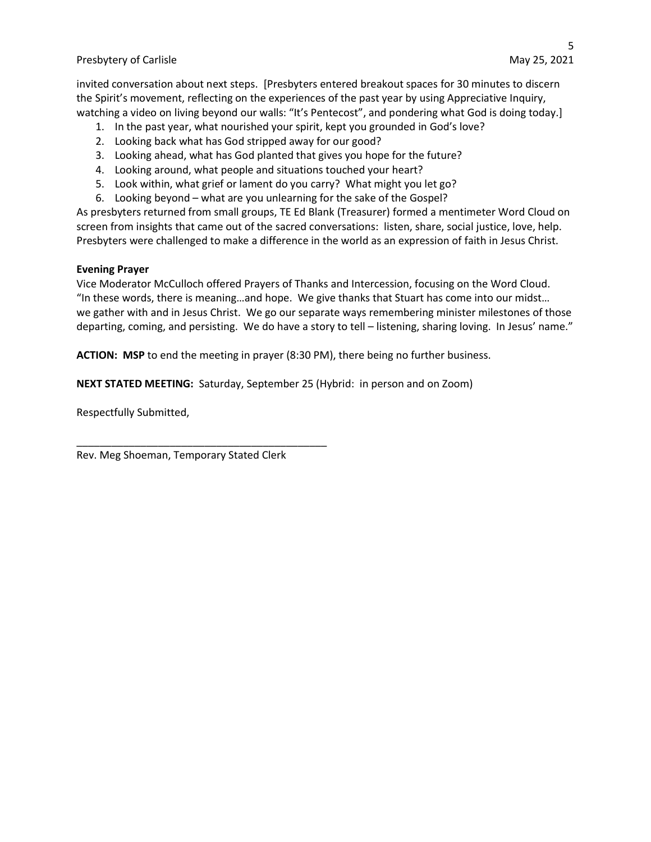invited conversation about next steps. [Presbyters entered breakout spaces for 30 minutes to discern the Spirit's movement, reflecting on the experiences of the past year by using Appreciative Inquiry, watching a video on living beyond our walls: "It's Pentecost", and pondering what God is doing today.]

- 1. In the past year, what nourished your spirit, kept you grounded in God's love?
- 2. Looking back what has God stripped away for our good?
- 3. Looking ahead, what has God planted that gives you hope for the future?
- 4. Looking around, what people and situations touched your heart?
- 5. Look within, what grief or lament do you carry? What might you let go?
- 6. Looking beyond what are you unlearning for the sake of the Gospel?

As presbyters returned from small groups, TE Ed Blank (Treasurer) formed a mentimeter Word Cloud on screen from insights that came out of the sacred conversations: listen, share, social justice, love, help. Presbyters were challenged to make a difference in the world as an expression of faith in Jesus Christ.

#### **Evening Prayer**

Vice Moderator McCulloch offered Prayers of Thanks and Intercession, focusing on the Word Cloud. "In these words, there is meaning…and hope. We give thanks that Stuart has come into our midst… we gather with and in Jesus Christ. We go our separate ways remembering minister milestones of those departing, coming, and persisting. We do have a story to tell – listening, sharing loving. In Jesus' name."

**ACTION: MSP** to end the meeting in prayer (8:30 PM), there being no further business.

**NEXT STATED MEETING:** Saturday, September 25 (Hybrid: in person and on Zoom)

Respectfully Submitted,

Rev. Meg Shoeman, Temporary Stated Clerk

\_\_\_\_\_\_\_\_\_\_\_\_\_\_\_\_\_\_\_\_\_\_\_\_\_\_\_\_\_\_\_\_\_\_\_\_\_\_\_\_\_\_\_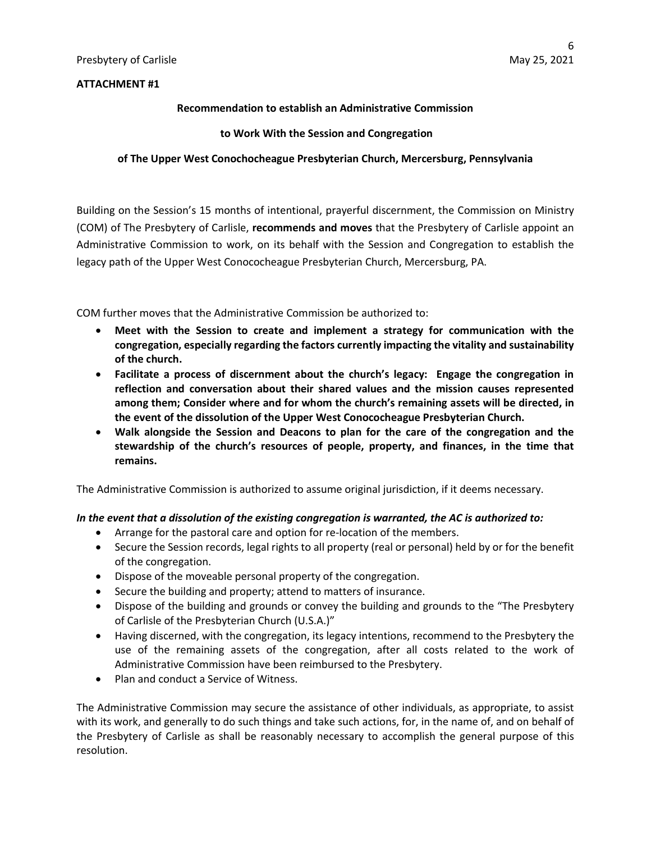## **ATTACHMENT #1**

#### **Recommendation to establish an Administrative Commission**

#### **to Work With the Session and Congregation**

#### **of The Upper West Conochocheague Presbyterian Church, Mercersburg, Pennsylvania**

Building on the Session's 15 months of intentional, prayerful discernment, the Commission on Ministry (COM) of The Presbytery of Carlisle, **recommends and moves** that the Presbytery of Carlisle appoint an Administrative Commission to work, on its behalf with the Session and Congregation to establish the legacy path of the Upper West Conococheague Presbyterian Church, Mercersburg, PA.

COM further moves that the Administrative Commission be authorized to:

- **Meet with the Session to create and implement a strategy for communication with the congregation, especially regarding the factors currently impacting the vitality and sustainability of the church.**
- **Facilitate a process of discernment about the church's legacy: Engage the congregation in reflection and conversation about their shared values and the mission causes represented among them; Consider where and for whom the church's remaining assets will be directed, in the event of the dissolution of the Upper West Conococheague Presbyterian Church.**
- **Walk alongside the Session and Deacons to plan for the care of the congregation and the stewardship of the church's resources of people, property, and finances, in the time that remains.**

The Administrative Commission is authorized to assume original jurisdiction, if it deems necessary.

#### *In the event that a dissolution of the existing congregation is warranted, the AC is authorized to:*

- Arrange for the pastoral care and option for re-location of the members.
- Secure the Session records, legal rights to all property (real or personal) held by or for the benefit of the congregation.
- Dispose of the moveable personal property of the congregation.
- Secure the building and property; attend to matters of insurance.
- Dispose of the building and grounds or convey the building and grounds to the "The Presbytery of Carlisle of the Presbyterian Church (U.S.A.)"
- Having discerned, with the congregation, its legacy intentions, recommend to the Presbytery the use of the remaining assets of the congregation, after all costs related to the work of Administrative Commission have been reimbursed to the Presbytery.
- Plan and conduct a Service of Witness.

The Administrative Commission may secure the assistance of other individuals, as appropriate, to assist with its work, and generally to do such things and take such actions, for, in the name of, and on behalf of the Presbytery of Carlisle as shall be reasonably necessary to accomplish the general purpose of this resolution.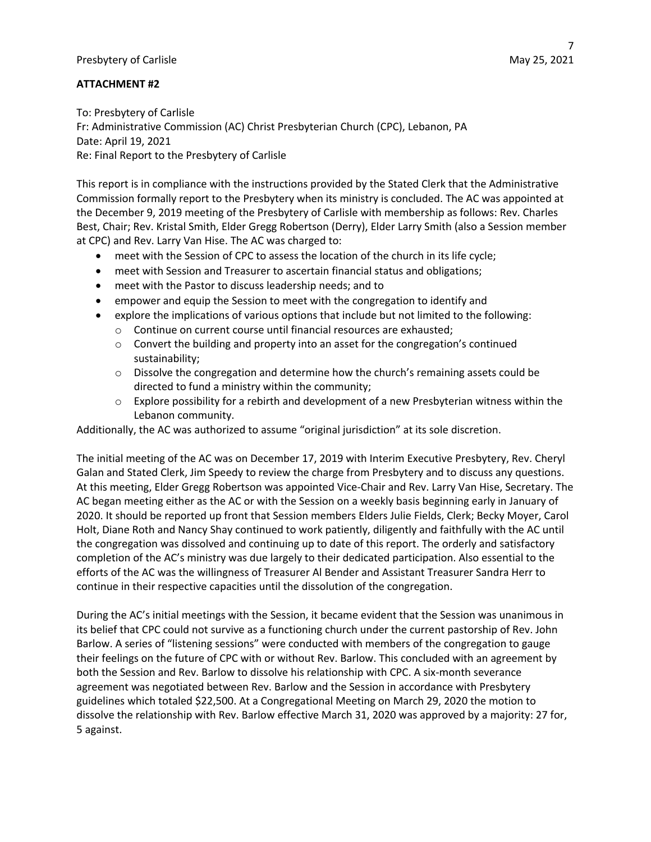## **ATTACHMENT #2**

To: Presbytery of Carlisle Fr: Administrative Commission (AC) Christ Presbyterian Church (CPC), Lebanon, PA Date: April 19, 2021 Re: Final Report to the Presbytery of Carlisle

This report is in compliance with the instructions provided by the Stated Clerk that the Administrative Commission formally report to the Presbytery when its ministry is concluded. The AC was appointed at the December 9, 2019 meeting of the Presbytery of Carlisle with membership as follows: Rev. Charles Best, Chair; Rev. Kristal Smith, Elder Gregg Robertson (Derry), Elder Larry Smith (also a Session member at CPC) and Rev. Larry Van Hise. The AC was charged to:

- meet with the Session of CPC to assess the location of the church in its life cycle;
- meet with Session and Treasurer to ascertain financial status and obligations;
- meet with the Pastor to discuss leadership needs; and to
- empower and equip the Session to meet with the congregation to identify and
- explore the implications of various options that include but not limited to the following:
	- o Continue on current course until financial resources are exhausted;
	- $\circ$  Convert the building and property into an asset for the congregation's continued sustainability;
	- $\circ$  Dissolve the congregation and determine how the church's remaining assets could be directed to fund a ministry within the community;
	- $\circ$  Explore possibility for a rebirth and development of a new Presbyterian witness within the Lebanon community.

Additionally, the AC was authorized to assume "original jurisdiction" at its sole discretion.

The initial meeting of the AC was on December 17, 2019 with Interim Executive Presbytery, Rev. Cheryl Galan and Stated Clerk, Jim Speedy to review the charge from Presbytery and to discuss any questions. At this meeting, Elder Gregg Robertson was appointed Vice-Chair and Rev. Larry Van Hise, Secretary. The AC began meeting either as the AC or with the Session on a weekly basis beginning early in January of 2020. It should be reported up front that Session members Elders Julie Fields, Clerk; Becky Moyer, Carol Holt, Diane Roth and Nancy Shay continued to work patiently, diligently and faithfully with the AC until the congregation was dissolved and continuing up to date of this report. The orderly and satisfactory completion of the AC's ministry was due largely to their dedicated participation. Also essential to the efforts of the AC was the willingness of Treasurer Al Bender and Assistant Treasurer Sandra Herr to continue in their respective capacities until the dissolution of the congregation.

During the AC's initial meetings with the Session, it became evident that the Session was unanimous in its belief that CPC could not survive as a functioning church under the current pastorship of Rev. John Barlow. A series of "listening sessions" were conducted with members of the congregation to gauge their feelings on the future of CPC with or without Rev. Barlow. This concluded with an agreement by both the Session and Rev. Barlow to dissolve his relationship with CPC. A six-month severance agreement was negotiated between Rev. Barlow and the Session in accordance with Presbytery guidelines which totaled \$22,500. At a Congregational Meeting on March 29, 2020 the motion to dissolve the relationship with Rev. Barlow effective March 31, 2020 was approved by a majority: 27 for, 5 against.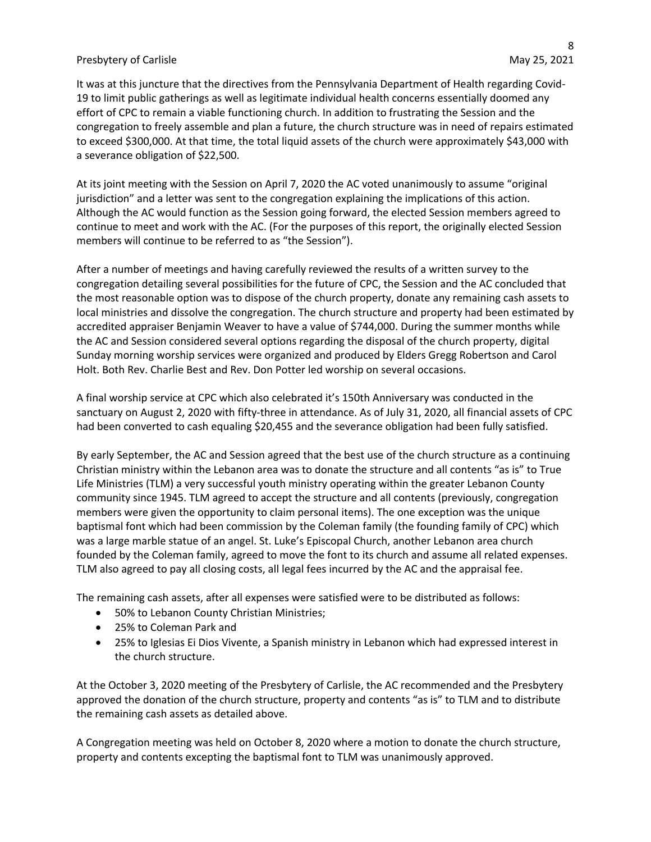It was at this juncture that the directives from the Pennsylvania Department of Health regarding Covid-19 to limit public gatherings as well as legitimate individual health concerns essentially doomed any effort of CPC to remain a viable functioning church. In addition to frustrating the Session and the congregation to freely assemble and plan a future, the church structure was in need of repairs estimated to exceed \$300,000. At that time, the total liquid assets of the church were approximately \$43,000 with a severance obligation of \$22,500.

At its joint meeting with the Session on April 7, 2020 the AC voted unanimously to assume "original jurisdiction" and a letter was sent to the congregation explaining the implications of this action. Although the AC would function as the Session going forward, the elected Session members agreed to continue to meet and work with the AC. (For the purposes of this report, the originally elected Session members will continue to be referred to as "the Session").

After a number of meetings and having carefully reviewed the results of a written survey to the congregation detailing several possibilities for the future of CPC, the Session and the AC concluded that the most reasonable option was to dispose of the church property, donate any remaining cash assets to local ministries and dissolve the congregation. The church structure and property had been estimated by accredited appraiser Benjamin Weaver to have a value of \$744,000. During the summer months while the AC and Session considered several options regarding the disposal of the church property, digital Sunday morning worship services were organized and produced by Elders Gregg Robertson and Carol Holt. Both Rev. Charlie Best and Rev. Don Potter led worship on several occasions.

A final worship service at CPC which also celebrated it's 150th Anniversary was conducted in the sanctuary on August 2, 2020 with fifty-three in attendance. As of July 31, 2020, all financial assets of CPC had been converted to cash equaling \$20,455 and the severance obligation had been fully satisfied.

By early September, the AC and Session agreed that the best use of the church structure as a continuing Christian ministry within the Lebanon area was to donate the structure and all contents "as is" to True Life Ministries (TLM) a very successful youth ministry operating within the greater Lebanon County community since 1945. TLM agreed to accept the structure and all contents (previously, congregation members were given the opportunity to claim personal items). The one exception was the unique baptismal font which had been commission by the Coleman family (the founding family of CPC) which was a large marble statue of an angel. St. Luke's Episcopal Church, another Lebanon area church founded by the Coleman family, agreed to move the font to its church and assume all related expenses. TLM also agreed to pay all closing costs, all legal fees incurred by the AC and the appraisal fee.

The remaining cash assets, after all expenses were satisfied were to be distributed as follows:

- 50% to Lebanon County Christian Ministries;
- 25% to Coleman Park and
- 25% to Iglesias Ei Dios Vivente, a Spanish ministry in Lebanon which had expressed interest in the church structure.

At the October 3, 2020 meeting of the Presbytery of Carlisle, the AC recommended and the Presbytery approved the donation of the church structure, property and contents "as is" to TLM and to distribute the remaining cash assets as detailed above.

A Congregation meeting was held on October 8, 2020 where a motion to donate the church structure, property and contents excepting the baptismal font to TLM was unanimously approved.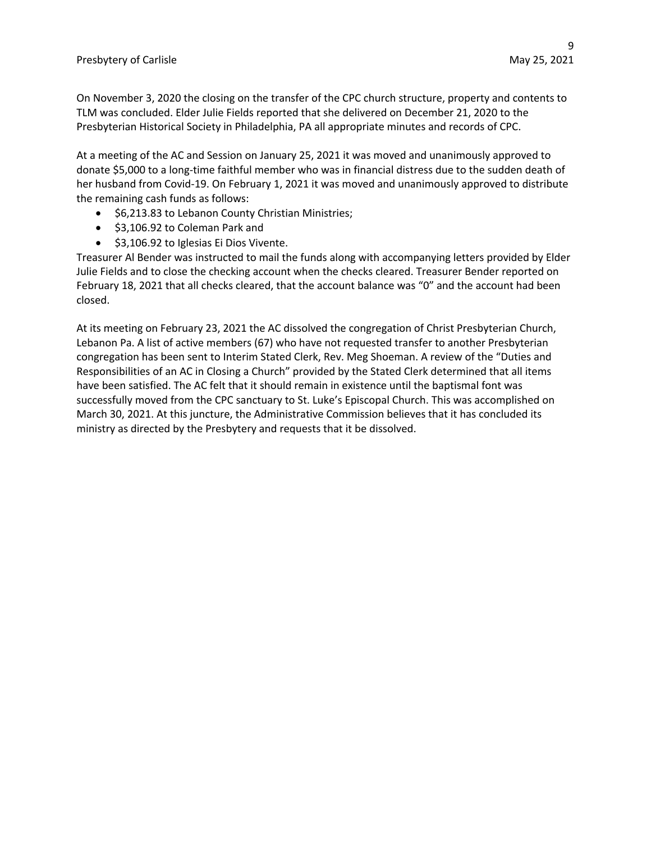On November 3, 2020 the closing on the transfer of the CPC church structure, property and contents to TLM was concluded. Elder Julie Fields reported that she delivered on December 21, 2020 to the Presbyterian Historical Society in Philadelphia, PA all appropriate minutes and records of CPC.

At a meeting of the AC and Session on January 25, 2021 it was moved and unanimously approved to donate \$5,000 to a long-time faithful member who was in financial distress due to the sudden death of her husband from Covid-19. On February 1, 2021 it was moved and unanimously approved to distribute the remaining cash funds as follows:

- \$6,213.83 to Lebanon County Christian Ministries;
- \$3,106.92 to Coleman Park and
- \$3,106.92 to Iglesias Ei Dios Vivente.

Treasurer Al Bender was instructed to mail the funds along with accompanying letters provided by Elder Julie Fields and to close the checking account when the checks cleared. Treasurer Bender reported on February 18, 2021 that all checks cleared, that the account balance was "0" and the account had been closed.

At its meeting on February 23, 2021 the AC dissolved the congregation of Christ Presbyterian Church, Lebanon Pa. A list of active members (67) who have not requested transfer to another Presbyterian congregation has been sent to Interim Stated Clerk, Rev. Meg Shoeman. A review of the "Duties and Responsibilities of an AC in Closing a Church" provided by the Stated Clerk determined that all items have been satisfied. The AC felt that it should remain in existence until the baptismal font was successfully moved from the CPC sanctuary to St. Luke's Episcopal Church. This was accomplished on March 30, 2021. At this juncture, the Administrative Commission believes that it has concluded its ministry as directed by the Presbytery and requests that it be dissolved.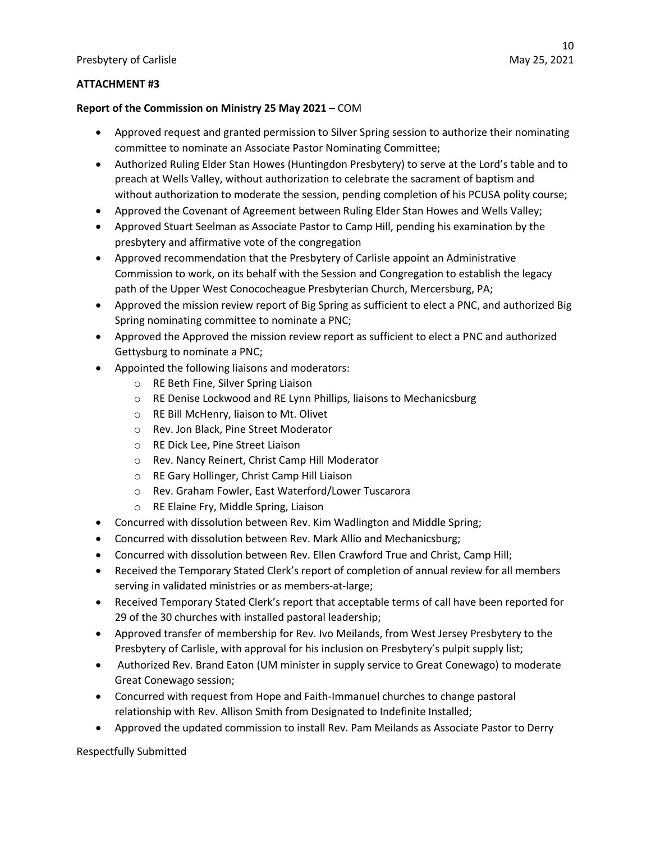## **ATTACHMENT #3**

## **Report of the Commission on Ministry 25 May 2021 –** COM

- Approved request and granted permission to Silver Spring session to authorize their nominating committee to nominate an Associate Pastor Nominating Committee;
- Authorized Ruling Elder Stan Howes (Huntingdon Presbytery) to serve at the Lord's table and to preach at Wells Valley, without authorization to celebrate the sacrament of baptism and without authorization to moderate the session, pending completion of his PCUSA polity course;
- Approved the Covenant of Agreement between Ruling Elder Stan Howes and Wells Valley;
- Approved Stuart Seelman as Associate Pastor to Camp Hill, pending his examination by the presbytery and affirmative vote of the congregation
- Approved recommendation that the Presbytery of Carlisle appoint an Administrative Commission to work, on its behalf with the Session and Congregation to establish the legacy path of the Upper West Conococheague Presbyterian Church, Mercersburg, PA;
- Approved the mission review report of Big Spring as sufficient to elect a PNC, and authorized Big Spring nominating committee to nominate a PNC;
- Approved the Approved the mission review report as sufficient to elect a PNC and authorized Gettysburg to nominate a PNC;
- Appointed the following liaisons and moderators:
	- o RE Beth Fine, Silver Spring Liaison
	- o RE Denise Lockwood and RE Lynn Phillips, liaisons to Mechanicsburg
	- o RE Bill McHenry, liaison to Mt. Olivet
	- o Rev. Jon Black, Pine Street Moderator
	- o RE Dick Lee, Pine Street Liaison
	- o Rev. Nancy Reinert, Christ Camp Hill Moderator
	- o RE Gary Hollinger, Christ Camp Hill Liaison
	- o Rev. Graham Fowler, East Waterford/Lower Tuscarora
	- o RE Elaine Fry, Middle Spring, Liaison
- Concurred with dissolution between Rev. Kim Wadlington and Middle Spring;
- Concurred with dissolution between Rev. Mark Allio and Mechanicsburg;
- Concurred with dissolution between Rev. Ellen Crawford True and Christ, Camp Hill;
- Received the Temporary Stated Clerk's report of completion of annual review for all members serving in validated ministries or as members-at-large;
- Received Temporary Stated Clerk's report that acceptable terms of call have been reported for 29 of the 30 churches with installed pastoral leadership;
- Approved transfer of membership for Rev. Ivo Meilands, from West Jersey Presbytery to the Presbytery of Carlisle, with approval for his inclusion on Presbytery's pulpit supply list;
- Authorized Rev. Brand Eaton (UM minister in supply service to Great Conewago) to moderate Great Conewago session;
- Concurred with request from Hope and Faith-Immanuel churches to change pastoral relationship with Rev. Allison Smith from Designated to Indefinite Installed;
- Approved the updated commission to install Rev. Pam Meilands as Associate Pastor to Derry

Respectfully Submitted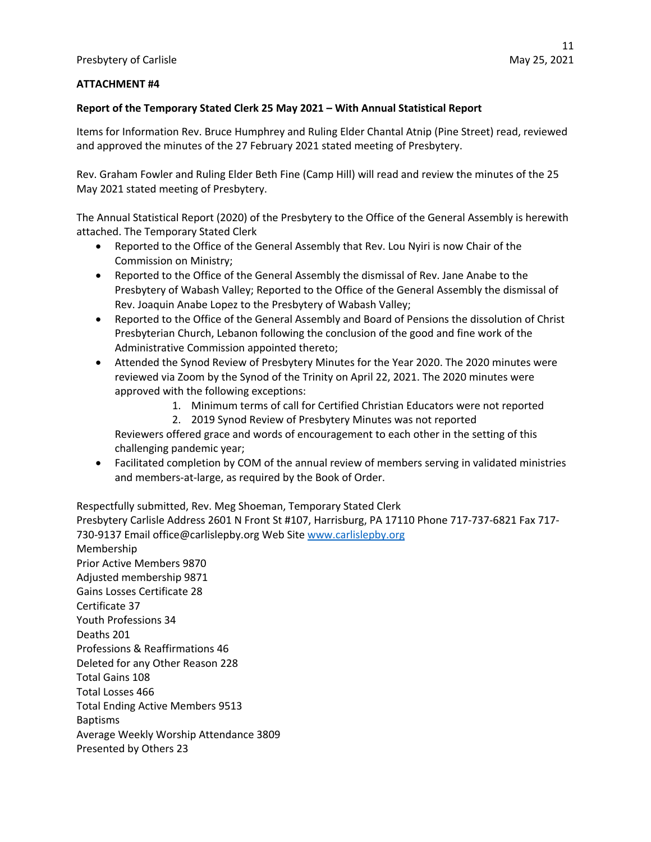## **ATTACHMENT #4**

#### **Report of the Temporary Stated Clerk 25 May 2021 – With Annual Statistical Report**

Items for Information Rev. Bruce Humphrey and Ruling Elder Chantal Atnip (Pine Street) read, reviewed and approved the minutes of the 27 February 2021 stated meeting of Presbytery.

Rev. Graham Fowler and Ruling Elder Beth Fine (Camp Hill) will read and review the minutes of the 25 May 2021 stated meeting of Presbytery.

The Annual Statistical Report (2020) of the Presbytery to the Office of the General Assembly is herewith attached. The Temporary Stated Clerk

- Reported to the Office of the General Assembly that Rev. Lou Nyiri is now Chair of the Commission on Ministry;
- Reported to the Office of the General Assembly the dismissal of Rev. Jane Anabe to the Presbytery of Wabash Valley; Reported to the Office of the General Assembly the dismissal of Rev. Joaquin Anabe Lopez to the Presbytery of Wabash Valley;
- Reported to the Office of the General Assembly and Board of Pensions the dissolution of Christ Presbyterian Church, Lebanon following the conclusion of the good and fine work of the Administrative Commission appointed thereto;
- Attended the Synod Review of Presbytery Minutes for the Year 2020. The 2020 minutes were reviewed via Zoom by the Synod of the Trinity on April 22, 2021. The 2020 minutes were approved with the following exceptions:
	- 1. Minimum terms of call for Certified Christian Educators were not reported
	- 2. 2019 Synod Review of Presbytery Minutes was not reported

Reviewers offered grace and words of encouragement to each other in the setting of this challenging pandemic year;

• Facilitated completion by COM of the annual review of members serving in validated ministries and members-at-large, as required by the Book of Order.

Respectfully submitted, Rev. Meg Shoeman, Temporary Stated Clerk Presbytery Carlisle Address 2601 N Front St #107, Harrisburg, PA 17110 Phone 717-737-6821 Fax 717- 730-9137 Email office@carlislepby.org Web Site www.carlislepby.org Membership Prior Active Members 9870 Adjusted membership 9871 Gains Losses Certificate 28 Certificate 37 Youth Professions 34 Deaths 201 Professions & Reaffirmations 46 Deleted for any Other Reason 228 Total Gains 108 Total Losses 466 Total Ending Active Members 9513 Baptisms Average Weekly Worship Attendance 3809 Presented by Others 23